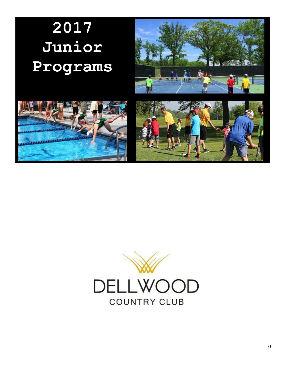# **2017 Junior Programs**







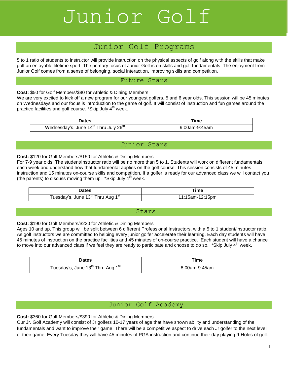# *Junior Golf Junior Golf* Junior Golf

# Junior Golf Programs

5 to 1 ratio of students to instructor will provide instruction on the physical aspects of golf along with the skills that make golf an enjoyable lifetime sport. The primary focus of Junior Golf is on skills and golf fundamentals. The enjoyment from Junior Golf comes from a sense of belonging, social interaction, improving skills and competition.

#### Future Stars

**Cost:** \$50 for Golf Members/\$80 for Athletic & Dining Members

We are very excited to kick off a new program for our youngest golfers, 5 and 6 year olds. This session will be 45 minutes on Wednesdays and our focus is introduction to the game of golf. It will consist of instruction and fun games around the practice facilities and golf course. \*Skip July  $4<sup>th</sup>$  week.

| <b>Dates</b>                                                  | Γime          |
|---------------------------------------------------------------|---------------|
| Wednesday's, June 14 <sup>th</sup> Thru July 26 <sup>th</sup> | 9:00am-9:45am |

## Junior Stars

#### **Cost:** \$120 for Golf Members/\$150 for Athletic & Dining Members

For 7-9 year olds. The student/Instructor ratio will be no more than 5 to 1. Students will work on different fundamentals each week and understand how that fundamental applies on the golf course. This session consists of 45 minutes instruction and 15 minutes on-course skills and competition. If a golfer is ready for our advanced class we will contact you (the parents) to discuss moving them up. \*Skip July  $4<sup>th</sup>$  week.

| Dates                                                     | ™e              |
|-----------------------------------------------------------|-----------------|
| Tuesday's, June 13 <sup>tn</sup> Thru Aug 1 <sup>st</sup> | 11:15am-12:15pm |

#### Stars

**Cost:** \$190 for Golf Members/\$220 for Athletic & Dining Members

Ages 10 and up. This group will be split between 6 different Professional Instructors, with a 5 to 1 student/instructor ratio. As golf instructors we are committed to helping every junior golfer accelerate their learning. Each day students will have 45 minutes of instruction on the practice facilities and 45 minutes of on-course practice. Each student will have a chance to move into our advanced class if we feel they are ready to participate and choose to do so. \*Skip July  $4<sup>th</sup>$  week.

| Dates                                                     | ⊺ime          |
|-----------------------------------------------------------|---------------|
| Tuesday's, June 13 <sup>th</sup> Thru Aug 1 <sup>st</sup> | 8:00am-9:45am |

## Junior Golf Academy

**Cost:** \$360 for Golf Members/\$390 for Athletic & Dining Members

Our Jr. Golf Academy will consist of Jr golfers 10-17 years of age that have shown ability and understanding of the fundamentals and want to improve their game. There will be a competitive aspect to drive each Jr golfer to the next level of their game. Every Tuesday they will have 45 minutes of PGA instruction and continue their day playing 9-Holes of golf.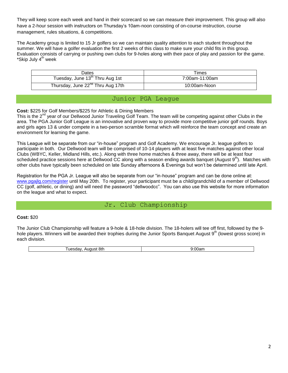They will keep score each week and hand in their scorecard so we can measure their improvement. This group will also have a 2-hour session with instructors on Thursday's 10am-noon consisting of on-course instruction, course management, rules situations, & competitions.

The Academy group is limited to 15 Jr golfers so we can maintain quality attention to each student throughout the summer. We will have a golfer evaluation the first 2 weeks of this class to make sure your child fits in this group. Evaluation consists of carrying or pushing own clubs for 9-holes along with their pace of play and passion for the game. \*Skip July 4<sup>th</sup> week

| Dates                                         | Times          |
|-----------------------------------------------|----------------|
| Tuesday, June 13 <sup>th</sup> Thru Aug 1st   | 7:00am-11:00am |
| Thursday, June 22 <sup>nd</sup> Thru Aug 17th | 10:00am-Noon   |

## Junior PGA League

**Cost:** \$225 for Golf Members/\$225 for Athletic & Dining Members

This is the 2<sup>nd</sup> year of our Dellwood Junior Traveling Golf Team. The team will be competing against other Clubs in the area. The PGA Junior Golf League is an innovative and proven way to provide more competitive junior golf rounds. Boys and girls ages 13 & under compete in a two-person scramble format which will reinforce the team concept and create an environment for learning the game.

This League will be separate from our "in-house" program and Golf Academy. We encourage Jr. league golfers to participate in both. Our Dellwood team will be comprised of 10-14 players with at least five matches against other local Clubs (WBYC, Keller, Midland Hills, etc.). Along with three home matches & three away, there will be at least four scheduled practice sessions here at Dellwood CC along with a season ending awards banquet (August  $9<sup>th</sup>$ ). Matches with other clubs have typically been scheduled on late Sunday afternoons & Evenings but won't be determined until late April.

Registration for the PGA Jr. League will also be separate from our "in-house" program and can be done online at: [www.pgajlg.com/register](http://www.pgajlg.com/register) until May 20th. To register, your participant must be a child/grandchild of a member of Dellwood CC (golf, athletic, or dining) and will need the password "dellwoodcc". You can also use this website for more information on the league and what to expect.

# Jr. Club Championship

#### **Cost:** \$20

The Junior Club Championship will feature a 9-hole & 18-hole division. The 18-holers will tee off first, followed by the 9 hole players. Winners will be awarded their trophies during the Junior Sports Banquet August 9<sup>th</sup> (lowest gross score) in each division.

| זור |  |
|-----|--|
|-----|--|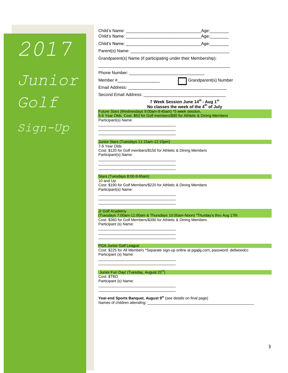# *2017 Junior Golf Sign-Up*

|                                                                                           | _Age:_________                                                                           |
|-------------------------------------------------------------------------------------------|------------------------------------------------------------------------------------------|
|                                                                                           |                                                                                          |
|                                                                                           |                                                                                          |
|                                                                                           |                                                                                          |
| Grandparent(s) Name (if participating under their Membership):                            |                                                                                          |
|                                                                                           |                                                                                          |
| Member #_____________________                                                             | Grandparent(s) Number                                                                    |
|                                                                                           |                                                                                          |
|                                                                                           |                                                                                          |
|                                                                                           | 7 Week Session June 14th - Aug 1st<br>No classes the week of the 4 <sup>th</sup> of July |
| Future Stars (Wednesdays 9:00am-9:45am) *5 week session,                                  |                                                                                          |
| Participant(s) Name:                                                                      | 5-6 Year Olds. Cost: \$50 for Golf members/\$80 for Athletic & Dining Members            |
|                                                                                           |                                                                                          |
| the control of the control of the control of the control of the control of the control of |                                                                                          |
| Junior Stars (Tuesdays 11:15am-12:15pm)                                                   |                                                                                          |
| 7-9 Year Olds                                                                             |                                                                                          |
| Cost: \$120 for Golf members/\$150 for Athletic & Dining Members<br>Participant(s) Name:  |                                                                                          |
|                                                                                           |                                                                                          |
|                                                                                           |                                                                                          |
| Stars (Tuesdays 8:00-9:45am)                                                              |                                                                                          |
| 10 and Up                                                                                 |                                                                                          |
| Cost: \$190 for Golf Members/\$220 for Athletic & Dining Members<br>Participant(s) Name:  |                                                                                          |
|                                                                                           |                                                                                          |
|                                                                                           |                                                                                          |
| Jr Golf Academy                                                                           |                                                                                          |
|                                                                                           | (Tuesdays 7:00am-11:00am & Thursdays 10:00am-Noon) *Thurday's thru Aug 17th              |
| Cost: \$360 for Golf Members/\$390 for Athletic & Dining Members<br>Participant (s) Name: |                                                                                          |
|                                                                                           |                                                                                          |
|                                                                                           |                                                                                          |
| <b>PGA Junior Golf League</b>                                                             |                                                                                          |
|                                                                                           | Cost: \$225 for All Members *Separate sign-up online at pgajlg.com, password: dellwoodcc |
| Participant (s) Name:                                                                     |                                                                                          |
|                                                                                           |                                                                                          |
| Junior Fun Day! (Tuesday, August 22 <sup>rd</sup> )                                       |                                                                                          |
| Cost: \$TBD<br>Participant (s) Name:                                                      |                                                                                          |
|                                                                                           |                                                                                          |
|                                                                                           |                                                                                          |
| Year-end Sports Banquet, August 9 <sup>th</sup> (see details on final page)               |                                                                                          |
|                                                                                           |                                                                                          |
|                                                                                           |                                                                                          |
|                                                                                           |                                                                                          |
|                                                                                           |                                                                                          |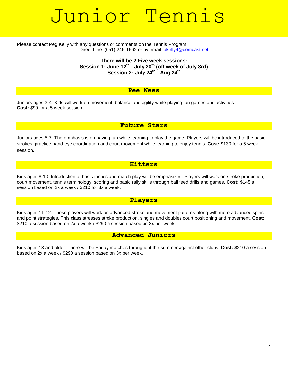# Junior Tennis

#### Please contact Peg Kelly with any questions or comments on the Tennis Program. Direct Line: (651) 246-1662 or by email: [pkelly4@comcast.net](mailto:pkelly4@comcast.net)

#### **There will be 2 Five week sessions: Session 1: June 12th - July 20th (off week of July 3rd) Session 2: July 24th - Aug 24th**

#### **Pee Wees**

Juniors ages 3-4. Kids will work on movement, balance and agility while playing fun games and activities. **Cost:** \$90 for a 5 week session.

**Future Stars**

Juniors ages 5-7. The emphasis is on having fun while learning to play the game. Players will be introduced to the basic strokes, practice hand-eye coordination and court movement while learning to enjoy tennis. **Cost:** \$130 for a 5 week session.

## **Hitters**

Kids ages 8-10. Introduction of basic tactics and match play will be emphasized. Players will work on stroke production, court movement, tennis terminology, scoring and basic rally skills through ball feed drills and games. **Cost:** \$145 a session based on 2x a week / \$210 for 3x a week.

## **Players**

Kids ages 11-12. These players will work on advanced stroke and movement patterns along with more advanced spins and point strategies. This class stresses stroke production, singles and doubles court positioning and movement. **Cost:** \$210 a session based on 2x a week / \$290 a session based on 3x per week.

## **Advanced Juniors**

Kids ages 13 and older. There will be Friday matches throughout the summer against other clubs. **Cost:** \$210 a session based on 2x a week / \$290 a session based on 3x per week.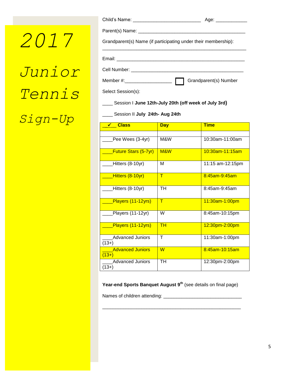*2017 Junior Tennis Sign-Up*

|                                                                | Age: ______________   |
|----------------------------------------------------------------|-----------------------|
|                                                                |                       |
| Grandparent(s) Name (if participating under their membership): |                       |
|                                                                |                       |
|                                                                |                       |
|                                                                |                       |
|                                                                | Grandparent(s) Number |
| Select Session(s):                                             |                       |
| Session I June 12th-July 20th (off week of July 3rd)           |                       |

\_\_\_\_ Session II **July 24th- Aug 24th**

| <b>Class</b><br>✓                  | <b>Day</b>  | <b>Time</b>      |
|------------------------------------|-------------|------------------|
|                                    |             |                  |
| Pee Wees (3-4yr)                   | M&W         | 10:30am-11:00am  |
| <b>Future Stars (5-7yr)</b>        | M&W         | 10:30am-11:15am  |
| Hitters (8-10yr)                   | М           | 11:15 am-12:15pm |
| Hitters (8-10yr)                   | $\mathsf T$ | 8:45am-9:45am    |
| Hitters (8-10yr)                   | TH          | 8:45am-9:45am    |
| Players (11-12yrs)                 | $\top$      | 11:30am-1:00pm   |
| Players (11-12yr)                  | W           | 8:45am-10:15pm   |
| Players (11-12yrs)                 | <b>TH</b>   | 12:30pm-2:00pm   |
| Advanced Juniors<br>$(13+)$        | $\top$      | 11:30am-1:00pm   |
| <b>Advanced Juniors</b><br>$(13+)$ | W           | 8:45am-10:15am   |
| <b>Advanced Juniors</b><br>$(13+)$ | <b>TH</b>   | 12:30pm-2:00pm   |

**Year-end Sports Banquet August 9th** (see details on final page)

\_\_\_\_\_\_\_\_\_\_\_\_\_\_\_\_\_\_\_\_\_\_\_\_\_\_\_\_\_\_\_\_\_\_\_\_\_\_\_\_\_\_\_\_\_\_\_\_\_\_\_\_\_

Names of children attending: \_\_\_\_\_\_\_\_\_\_\_\_\_\_\_\_\_\_\_\_\_\_\_\_\_\_\_\_\_\_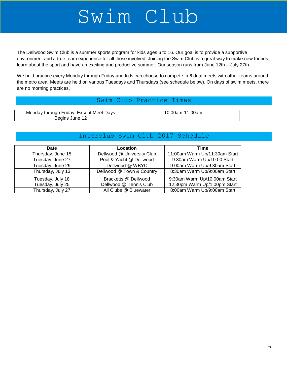# Swim Club

The Dellwood Swim Club is a summer sports program for kids ages 6 to 16. Our goal is to provide a supportive environment and a true team experience for all those involved. Joining the Swim Club is a great way to make new friends, learn about the sport and have an exciting and productive summer. Our season runs from June 12th – July 27th.

We hold practice every Monday through Friday and kids can choose to compete in 6 dual meets with other teams around the metro area. Meets are held on various Tuesdays and Thursdays (see schedule below). On days of swim meets, there are no morning practices.

#### Swim Club Practice Times

| Monday through Friday, Except Meet Days | 10:00am-11:00am |
|-----------------------------------------|-----------------|
| Begins June 12                          |                 |

# Interclub Swim Club 2017 Schedule

| Date              | Location                   | Time                          |
|-------------------|----------------------------|-------------------------------|
| Thursday, June 15 | Dellwood @ University Club | 11:00am Warm Up/11:30am Start |
| Tuesday, June 27  | Pool & Yacht @ Dellwood    | 9:30am Warm Up/10:00 Start    |
| Tuesday, June 29  | Dellwood @ WBYC            | 9:00am Warm Up/9:30am Start   |
| Thursday, July 13 | Dellwood @ Town & Country  | 8:30am Warm Up/9:00am Start   |
| Tuesday, July 18  | Bracketts @ Dellwood       | 9:30am Warm Up/10:00am Start  |
| Tuesday, July 25  | Dellwood @ Tennis Club     | 12:30pm Warm Up/1:00pm Start  |
| Thursday, July 27 | All Clubs @ Bluewater      | 8:00am Warm Up/9:00am Start   |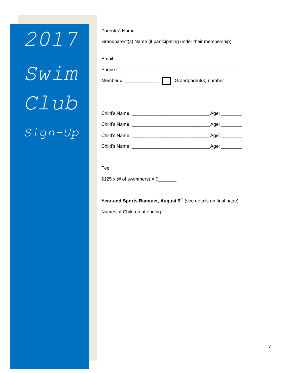*2017 Swim Club Sign-Up*

| Grandparent(s) Name (if participating under their membership): |  |
|----------------------------------------------------------------|--|
|                                                                |  |
|                                                                |  |
| Member #: ______________<br>Grandparent(s) number              |  |

| Child's Name: | Age:    |
|---------------|---------|
| Child's Name: | _Age: _ |
| Child's Name: | Age:    |
| Child's Name: | Age:    |

| Fee:                         |  |
|------------------------------|--|
| \$125 x (# of swimmers) = \$ |  |

**Year-end Sports Banquet, August 9th** (see details on final page)

\_\_\_\_\_\_\_\_\_\_\_\_\_\_\_\_\_\_\_\_\_\_\_\_\_\_\_\_\_\_\_\_\_\_\_\_\_\_\_\_\_\_\_\_\_\_\_\_\_\_\_\_\_\_\_

Names of Children attending: \_\_\_\_\_\_\_\_\_\_\_\_\_\_\_\_\_\_\_\_\_\_\_\_\_\_\_\_\_\_\_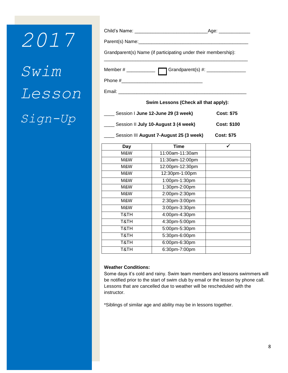# *2017 Swim Lesson Sign-Up*

|                                                                | _Age: _______________ |
|----------------------------------------------------------------|-----------------------|
|                                                                |                       |
| Grandparent(s) Name (if participating under their membership): |                       |
|                                                                |                       |
|                                                                |                       |
| Email:                                                         |                       |

**Swim Lessons (Check all that apply):**

| Session I June 12-June 29 (3 week)   | <b>Cost: \$75</b>  |
|--------------------------------------|--------------------|
| Session II July 10-August 3 (4 week) | <b>Cost: \$100</b> |

\_\_\_\_ Session III **August 7-August 25 (3 week) Cost: \$75**

| Day  | <b>Time</b>     |  |
|------|-----------------|--|
| M&W  | 11:00am-11:30am |  |
| M&W  | 11:30am-12:00pm |  |
| M&W  | 12:00pm-12:30pm |  |
| M&W  | 12:30pm-1:00pm  |  |
| M&W  | 1:00pm-1:30pm   |  |
| M&W  | 1:30pm-2:00pm   |  |
| M&W  | 2:00pm-2:30pm   |  |
| M&W  | 2:30pm-3:00pm   |  |
| M&W  | 3:00pm-3:30pm   |  |
| T&TH | 4:00pm-4:30pm   |  |
| T&TH | 4:30pm-5:00pm   |  |
| T&TH | 5:00pm-5:30pm   |  |
| T&TH | 5:30pm-6:00pm   |  |
| T&TH | 6:00pm-6:30pm   |  |
| T&TH | 6:30pm-7:00pm   |  |

#### **Weather Conditions:**

Some days it's cold and rainy. Swim team members and lessons swimmers will be notified prior to the start of swim club by email or the lesson by phone call. Lessons that are cancelled due to weather will be rescheduled with the instructor.

\*Siblings of similar age and ability may be in lessons together.